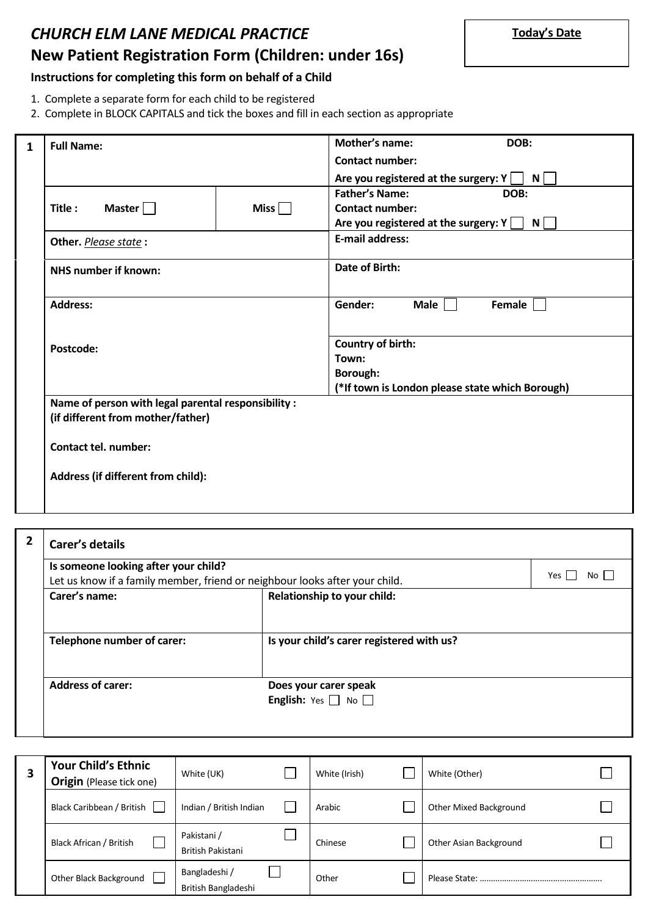# *CHURCH ELM LANE MEDICAL PRACTICE* **New Patient Registration Form (Children: under 16s)**

## **Instructions for completing this form on behalf of a Child**

- 1. Complete a separate form for each child to be registered
- 2. Complete in BLOCK CAPITALS and tick the boxes and fill in each section as appropriate

| $\mathbf{1}$ | <b>Full Name:</b>                                   | <b>Mother's name:</b><br>DOB:                                                 |
|--------------|-----------------------------------------------------|-------------------------------------------------------------------------------|
|              |                                                     | <b>Contact number:</b>                                                        |
|              |                                                     | Are you registered at the surgery: $Y \cap N$                                 |
|              |                                                     | <b>Father's Name:</b><br>DOB:                                                 |
|              | Master $\Box$<br>Miss $\Box$<br>Title:              | <b>Contact number:</b>                                                        |
|              |                                                     | Are you registered at the surgery: $Y \begin{bmatrix} 0 \\ 0 \end{bmatrix}$ N |
|              | Other. Please state:                                | <b>E-mail address:</b>                                                        |
|              | <b>NHS number if known:</b>                         | <b>Date of Birth:</b>                                                         |
|              |                                                     |                                                                               |
|              | <b>Address:</b>                                     | Gender:<br>Male $\vert$ $\vert$<br>Female                                     |
|              |                                                     |                                                                               |
|              | Postcode:                                           | <b>Country of birth:</b>                                                      |
|              |                                                     | Town:                                                                         |
|              |                                                     | <b>Borough:</b>                                                               |
|              |                                                     | (*If town is London please state which Borough)                               |
|              | Name of person with legal parental responsibility : |                                                                               |
|              | (if different from mother/father)                   |                                                                               |
|              | <b>Contact tel. number:</b>                         |                                                                               |
|              |                                                     |                                                                               |
|              | Address (if different from child):                  |                                                                               |
|              |                                                     |                                                                               |
|              |                                                     |                                                                               |

| <b>Carer's details</b>                                                      |                                                               |               |
|-----------------------------------------------------------------------------|---------------------------------------------------------------|---------------|
| Is someone looking after your child?                                        |                                                               |               |
| Let us know if a family member, friend or neighbour looks after your child. |                                                               | Yes  <br>No I |
| Carer's name:                                                               | Relationship to your child:                                   |               |
| Telephone number of carer:                                                  | Is your child's carer registered with us?                     |               |
| <b>Address of carer:</b>                                                    | Does your carer speak<br><b>English:</b> Yes $\Box$ No $\Box$ |               |

| <b>Your Child's Ethnic</b><br><b>Origin</b> (Please tick one) | White (UK)                           | White (Irish) | White (Other)          |
|---------------------------------------------------------------|--------------------------------------|---------------|------------------------|
| Black Caribbean / British                                     | Indian / British Indian              | Arabic        | Other Mixed Background |
| Black African / British                                       | Pakistani /<br>British Pakistani     | Chinese       | Other Asian Background |
| Other Black Background                                        | Bangladeshi /<br>British Bangladeshi | Other         |                        |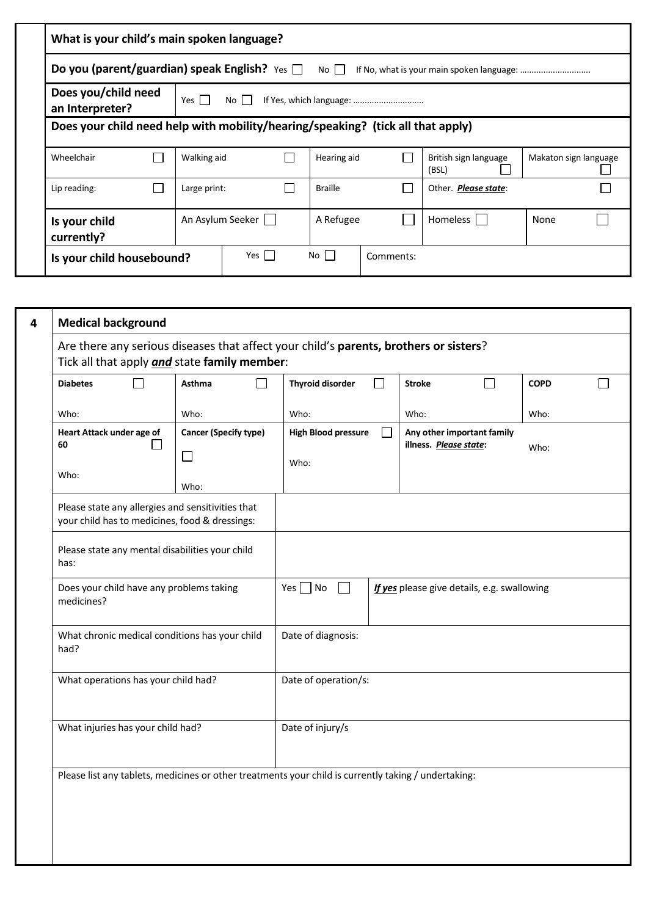|                                                                     | What is your child's main spoken language? |                                                                                 |                 |                                |                       |  |  |
|---------------------------------------------------------------------|--------------------------------------------|---------------------------------------------------------------------------------|-----------------|--------------------------------|-----------------------|--|--|
| <b>Do you (parent/guardian) speak English?</b> Yes $\Box$ No $\Box$ |                                            |                                                                                 |                 |                                |                       |  |  |
|                                                                     | Does you/child need<br>an Interpreter?     | Yes I<br>No II                                                                  |                 |                                |                       |  |  |
|                                                                     |                                            | Does your child need help with mobility/hearing/speaking? (tick all that apply) |                 |                                |                       |  |  |
|                                                                     | Wheelchair                                 | Walking aid                                                                     | Hearing aid     | British sign language<br>(BSL) | Makaton sign language |  |  |
|                                                                     | Lip reading:                               | Large print:                                                                    | <b>Braille</b>  | Other. <b>Please state:</b>    |                       |  |  |
|                                                                     | Is your child<br>currently?                | An Asylum Seeker                                                                | A Refugee       | Homeless                       | None                  |  |  |
|                                                                     | Is your child housebound?                  | Yes $\vert$ $\vert$                                                             | No<br>Comments: |                                |                       |  |  |

| 4 | <b>Medical background</b>                                                                                                             |        |                                                                                                     |        |                                                                                                      |        |               |                                                      |             |              |
|---|---------------------------------------------------------------------------------------------------------------------------------------|--------|-----------------------------------------------------------------------------------------------------|--------|------------------------------------------------------------------------------------------------------|--------|---------------|------------------------------------------------------|-------------|--------------|
|   | Are there any serious diseases that affect your child's parents, brothers or sisters?<br>Tick all that apply and state family member: |        |                                                                                                     |        |                                                                                                      |        |               |                                                      |             |              |
|   | <b>Diabetes</b>                                                                                                                       | $\sim$ | Asthma                                                                                              | $\Box$ | <b>Thyroid disorder</b>                                                                              | $\Box$ | <b>Stroke</b> | $\Box$                                               | <b>COPD</b> | $\mathbf{I}$ |
|   | Who:                                                                                                                                  |        | Who:                                                                                                |        | Who:                                                                                                 |        | Who:          |                                                      | Who:        |              |
|   | Heart Attack under age of<br>60                                                                                                       |        | <b>Cancer (Specify type)</b><br>$\Box$                                                              |        | <b>High Blood pressure</b><br>Who:                                                                   |        |               | Any other important family<br>illness. Please state: |             |              |
|   | Who:                                                                                                                                  |        | Who:                                                                                                |        |                                                                                                      |        |               |                                                      |             |              |
|   |                                                                                                                                       |        | Please state any allergies and sensitivities that<br>your child has to medicines, food & dressings: |        |                                                                                                      |        |               |                                                      |             |              |
|   | Please state any mental disabilities your child<br>has:                                                                               |        |                                                                                                     |        |                                                                                                      |        |               |                                                      |             |              |
|   | medicines?                                                                                                                            |        | Does your child have any problems taking                                                            |        | $Yes \Box No$<br>$\sim$                                                                              |        |               | If yes please give details, e.g. swallowing          |             |              |
|   | had?                                                                                                                                  |        | What chronic medical conditions has your child                                                      |        | Date of diagnosis:                                                                                   |        |               |                                                      |             |              |
|   | What operations has your child had?                                                                                                   |        |                                                                                                     |        | Date of operation/s:                                                                                 |        |               |                                                      |             |              |
|   | What injuries has your child had?                                                                                                     |        |                                                                                                     |        | Date of injury/s                                                                                     |        |               |                                                      |             |              |
|   |                                                                                                                                       |        |                                                                                                     |        | Please list any tablets, medicines or other treatments your child is currently taking / undertaking: |        |               |                                                      |             |              |
|   |                                                                                                                                       |        |                                                                                                     |        |                                                                                                      |        |               |                                                      |             |              |